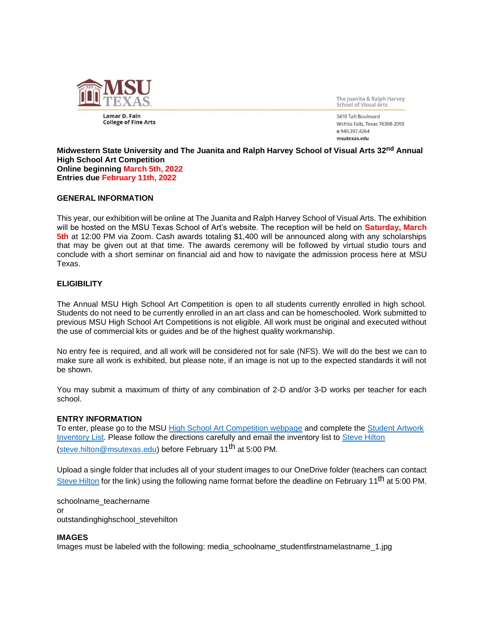

**College of Fine Arts** 

The Juanita & Ralph Harvey School of Visual Arts

3410 Taft Boulevard Wichita Falls, Texas 76308-2099 o 940.397.4264 msutexas.edu

# **Midwestern State University and The Juanita and Ralph Harvey School of Visual Arts 32 nd Annual High School Art Competition Online beginning March 5th, 2022 Entries due February 11th, 2022**

# **GENERAL INFORMATION**

This year, our exhibition will be online at The Juanita and Ralph Harvey School of Visual Arts. The exhibition will be hosted on the MSU Texas School of Art's website. The reception will be held on **Saturday, March 5th** at 12:00 PM via Zoom. Cash awards totaling \$1,400 will be announced along with any scholarships that may be given out at that time. The awards ceremony will be followed by virtual studio tours and conclude with a short seminar on financial aid and how to navigate the admission process here at MSU Texas.

## **ELIGIBILITY**

The Annual MSU High School Art Competition is open to all students currently enrolled in high school. Students do not need to be currently enrolled in an art class and can be homeschooled. Work submitted to previous MSU High School Art Competitions is not eligible. All work must be original and executed without the use of commercial kits or guides and be of the highest quality workmanship.

No entry fee is required, and all work will be considered not for sale (NFS). We will do the best we can to make sure all work is exhibited, but please note, if an image is not up to the expected standards it will not be shown.

You may submit a maximum of thirty of any combination of 2-D and/or 3-D works per teacher for each school.

## **ENTRY INFORMATION**

To enter, please go to the MSU [High School Art Competition webpage](https://msutexas.edu/academics/finearts/art/highschool.php) and complete the Student Artwork [Inventory List.](https://msutexas.edu/academics/finearts/art/high-school-art-competition-2022/student-artwork-inventory-list---fillable.pdf) Please follow the directions carefully and email the inventory list to [Steve Hilton](mailto:Steve%20Hilton) [\(steve.hilton@msutexas.edu\)](mailto:steve.hilton@msutexas.edu) before February 11<sup>th</sup> at 5:00 PM.

Upload a single folder that includes all of your student images to our OneDrive folder (teachers can contact [Steve Hilton](mailto:Steve%20Hilton) for the link) using the following name format before the deadline on February 11<sup>th</sup> at 5:00 PM.

schoolname\_teachername or outstandinghighschool\_stevehilton

#### **IMAGES**

Images must be labeled with the following: media\_schoolname\_studentfirstnamelastname\_1.jpg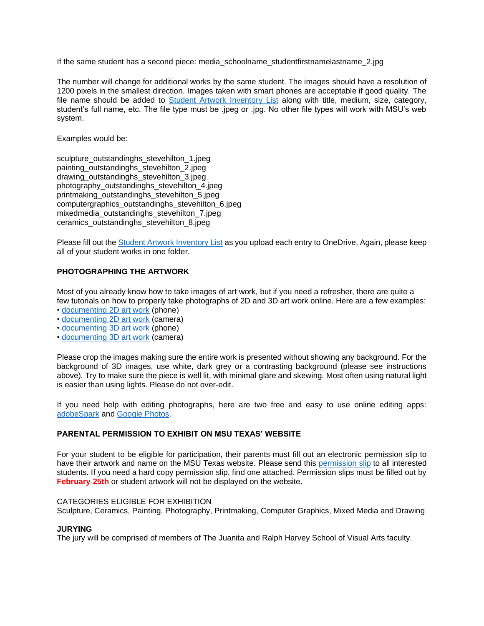If the same student has a second piece: media\_schoolname\_studentfirstnamelastname\_2.jpg

The number will change for additional works by the same student. The images should have a resolution of 1200 pixels in the smallest direction. Images taken with smart phones are acceptable if good quality. The file name should be added to [Student Artwork Inventory List](https://msutexas.edu/academics/finearts/art/high-school-art-competition-2022/student-artwork-inventory-list---fillable.pdf) along with title, medium, size, category, student's full name, etc. The file type must be .jpeg or .jpg. No other file types will work with MSU's web system.

Examples would be:

sculpture\_outstandinghs\_stevehilton\_1.jpeg painting\_outstandinghs\_stevehilton\_2.jpeg drawing outstandinghs stevehilton 3.jpeg photography\_outstandinghs\_stevehilton\_4.jpeg printmaking\_outstandinghs\_stevehilton\_5.jpeg computergraphics\_outstandinghs\_stevehilton\_6.jpeg mixedmedia\_outstandinghs\_stevehilton\_7.jpeg ceramics\_outstandinghs\_stevehilton\_8.jpeg

Please fill out th[e Student Artwork Inventory List](https://msutexas.edu/academics/finearts/art/high-school-art-competition-2022/student-artwork-inventory-list---fillable.pdf) as you upload each entry to OneDrive. Again, please keep all of your student works in one folder.

# **PHOTOGRAPHING THE ARTWORK**

Most of you already know how to take images of art work, but if you need a refresher, there are quite a few tutorials on how to properly take photographs of 2D and 3D art work online. Here are a few examples: • [documenting 2D art work](https://www.youtube.com/watch?v=S0g4a1Ge-Ds) (phone)

- • [documenting 2D art work](https://www.youtube.com/watch?v=Vpj28da03JQ) (camera)
- • [documenting 3D art work](https://www.youtube.com/watch?v=AMaUhKJgQv0) (phone)
- • [documenting 3D art work](https://dgillart.wordpress.com/2017/04/05/photographing-artwork/) (camera)
- 

Please crop the images making sure the entire work is presented without showing any background. For the background of 3D images, use white, dark grey or a contrasting background (please see instructions above). Try to make sure the piece is well lit, with minimal glare and skewing. Most often using natural light is easier than using lights. Please do not over-edit.

If you need help with editing photographs, here are two free and easy to use online editing apps: [adobeSpark](https://www.adobe.com/express/feature/image/editor) and [Google Photos.](https://play.google.com/store/apps/details?id=com.google.android.apps.photos&referrer=utm_source=xpag_hc_photos_7)

## **PARENTAL PERMISSION TO EXHIBIT ON MSU TEXAS' WEBSITE**

For your student to be eligible for participation, their parents must fill out an electronic permission slip to have their artwork and name on the MSU Texas website. Please send this [permission slip](https://msutexas.edu/academics/finearts/art/hsac-2021/permission-slip-msu-texas-high-school-art-competition.pdf) to all interested students. If you need a hard copy permission slip, find one attached. Permission slips must be filled out by **February 25th** or student artwork will not be displayed on the website.

#### CATEGORIES ELIGIBLE FOR EXHIBITION

Sculpture, Ceramics, Painting, Photography, Printmaking, Computer Graphics, Mixed Media and Drawing

#### **JURYING**

The jury will be comprised of members of The Juanita and Ralph Harvey School of Visual Arts faculty.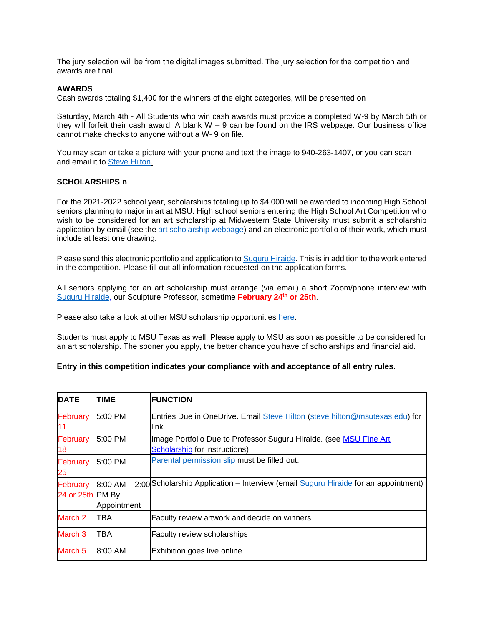The jury selection will be from the digital images submitted. The jury selection for the competition and awards are final.

### **AWARDS**

Cash awards totaling \$1,400 for the winners of the eight categories, will be presented on

Saturday, March 4th - All Students who win cash awards must provide a completed W-9 by March 5th or they will forfeit their cash award. A blank  $W - 9$  can be found on the IRS webpage. Our business office cannot make checks to anyone without a W- 9 on file.

You may scan or take a picture with your phone and text the image to 940-263-1407, or you can scan and email it to [Steve Hilton.](mailto:steve.hilton@msutexas.edu)

#### **SCHOLARSHIPS n**

For the 2021-2022 school year, scholarships totaling up to \$4,000 will be awarded to incoming High School seniors planning to major in art at MSU. High school seniors entering the High School Art Competition who wish to be considered for an art scholarship at Midwestern State University must submit a scholarship application by email (see the [art scholarship webpage\)](https://msutexas.edu/academics/finearts/art/_assets/files/fillable-high-school-art-scholarship-application.pdf) and an electronic portfolio of their work, which must include at least one drawing.

Please send this electronic portfolio and application to [Suguru Hiraide](mailto:suguru.hiraide@msutexas.edu)**.** This is in addition to the work entered in the competition. Please fill out all information requested on the application forms.

All seniors applying for an art scholarship must arrange (via email) a short Zoom/phone interview with [Suguru Hiraide,](mailto:suguru.hiraide@msutexas.edu) our Sculpture Professor, sometime **February 24th or 25th**.

Please also take a look at other MSU scholarship opportunities [here.](https://msutexas.edu/donor-services/scholarship-apps.php)

Students must apply to MSU Texas as well. Please apply to MSU as soon as possible to be considered for an art scholarship. The sooner you apply, the better chance you have of scholarships and financial aid.

#### **Entry in this competition indicates your compliance with and acceptance of all entry rules.**

| <b>DATE</b>                  | <b>TIME</b> | <b>FUNCTION</b>                                                                                            |
|------------------------------|-------------|------------------------------------------------------------------------------------------------------------|
| February<br>11               | 5:00 PM     | Entries Due in OneDrive. Email Steve Hilton (steve.hilton@msutexas.edu) for<br>link.                       |
| February<br>18               | 5:00 PM     | Image Portfolio Due to Professor Suguru Hiraide. (see MSU Fine Art<br><b>Scholarship</b> for instructions) |
| February<br>25               | 5:00 PM     | Parental permission slip must be filled out.                                                               |
| February<br>24 or 25th PM By | Appointment | 8:00 AM - 2:00 Scholarship Application - Interview (email Suguru Hiraide for an appointment)               |
| March <sub>2</sub>           | ITBA        | Faculty review artwork and decide on winners                                                               |
| March 3                      | ITBA        | <b>Faculty review scholarships</b>                                                                         |
| March <sub>5</sub>           | 8:00 AM     | Exhibition goes live online                                                                                |